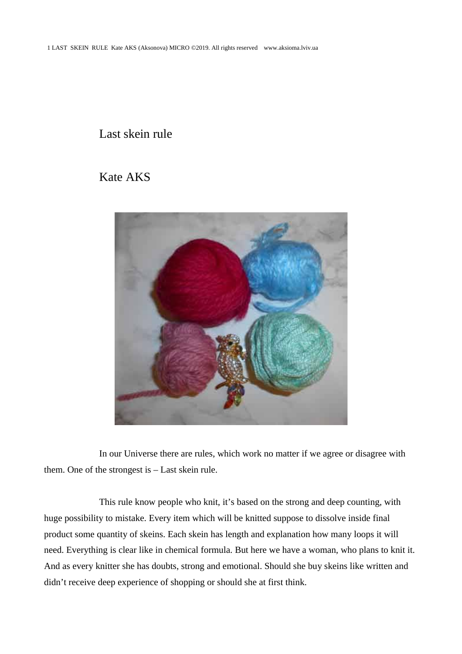## Last skein rule

## Kate AKS



In our Universe there are rules, which work no matter if we agree or disagree with them. One of the strongest is – Last skein rule.

This rule know people who knit, it's based on the strong and deep counting, with huge possibility to mistake. Every item which will be knitted suppose to dissolve inside final product some quantity of skeins. Each skein has length and explanation how many loops it will need. Everything is clear like in chemical formula. But here we have a woman, who plans to knit it. And as every knitter she has doubts, strong and emotional. Should she buy skeins like written and didn't receive deep experience of shopping or should she at first think.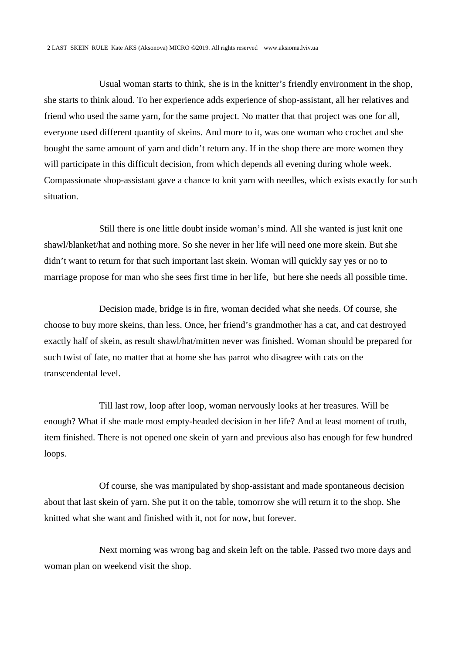Usual woman starts to think, she is in the knitter's friendly environment in the shop, she starts to think aloud. To her experience adds experience of shop-assistant, all her relatives and friend who used the same yarn, for the same project. No matter that that project was one for all, everyone used different quantity of skeins. And more to it, was one woman who crochet and she bought the same amount of yarn and didn't return any. If in the shop there are more women they will participate in this difficult decision, from which depends all evening during whole week. Compassionate shop-assistant gave a chance to knit yarn with needles, which exists exactly for such situation.

Still there is one little doubt inside woman's mind. All she wanted is just knit one shawl/blanket/hat and nothing more. So she never in her life will need one more skein. But she didn't want to return for that such important last skein. Woman will quickly say yes or no to marriage propose for man who she sees first time in her life, but here she needs all possible time.

Decision made, bridge is in fire, woman decided what she needs. Of course, she choose to buy more skeins, than less. Once, her friend's grandmother has a cat, and cat destroyed exactly half of skein, as result shawl/hat/mitten never was finished. Woman should be prepared for such twist of fate, no matter that at home she has parrot who disagree with cats on the transcendental level.

Till last row, loop after loop, woman nervously looks at her treasures. Will be enough? What if she made most empty-headed decision in her life? And at least moment of truth, item finished. There is not opened one skein of yarn and previous also has enough for few hundred loops.

Of course, she was manipulated by shop-assistant and made spontaneous decision about that last skein of yarn. She put it on the table, tomorrow she will return it to the shop. She knitted what she want and finished with it, not for now, but forever.

Next morning was wrong bag and skein left on the table. Passed two more days and woman plan on weekend visit the shop.